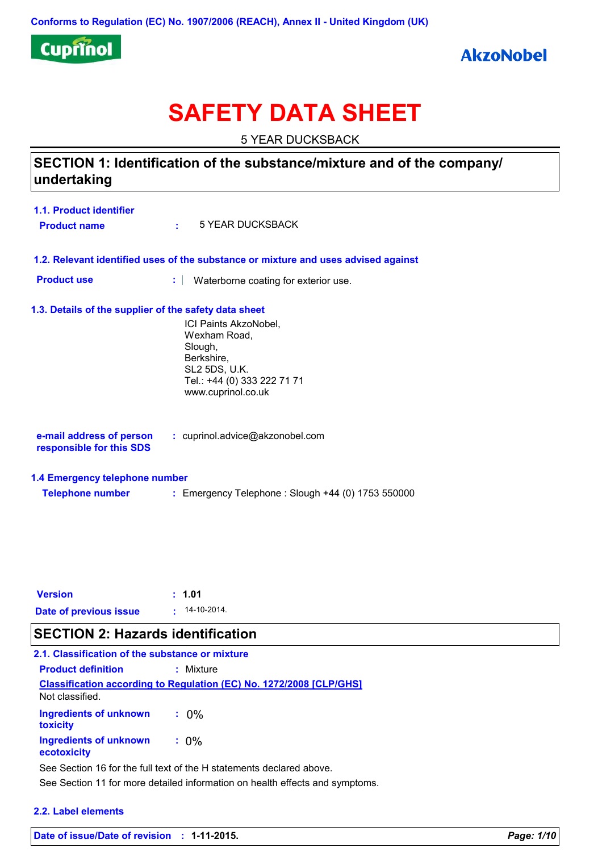

# **SAFETY DATA SHEET**

5 YEAR DUCKSBACK

# **SECTION 1: Identification of the substance/mixture and of the company/ undertaking**

| <b>1.1. Product identifier</b> |                  |
|--------------------------------|------------------|
| <b>Product name</b>            | 5 YEAR DUCKSBACK |

- **1.2. Relevant identified uses of the substance or mixture and uses advised against**
- **Product use <b>:** Waterborne coating for exterior use.

#### **1.3. Details of the supplier of the safety data sheet**

ICI Paints AkzoNobel, Wexham Road, Slough, Berkshire, SL2 5DS, U.K. Tel.: +44 (0) 333 222 71 71 www.cuprinol.co.uk

| e-mail address of person | : cuprinol.advice@akzonobel.com |  |
|--------------------------|---------------------------------|--|
| responsible for this SDS |                                 |  |

#### **1.4 Emergency telephone number**

**Telephone number :** Emergency Telephone : Slough +44 (0) 1753 550000

| <b>Version</b>         | : 1.01          |
|------------------------|-----------------|
| Date of previous issue | $: 14-10-2014.$ |

# **SECTION 2: Hazards identification**

| 2.1. Classification of the substance or mixture |                                                                            |
|-------------------------------------------------|----------------------------------------------------------------------------|
| <b>Product definition</b>                       | : Mixture                                                                  |
| Not classified.                                 | <b>Classification according to Regulation (EC) No. 1272/2008 [CLP/GHS]</b> |
| <b>Ingredients of unknown</b><br>toxicity       | $: 0\%$                                                                    |
| Ingredients of unknown<br>ecotoxicity           | $: 0\%$                                                                    |
|                                                 | See Section 16 for the full text of the H statements declared above.       |

See Section 11 for more detailed information on health effects and symptoms.

#### **2.2. Label elements**

**Date of issue/Date of revision : 1-11-2015.** *Page: 1/10*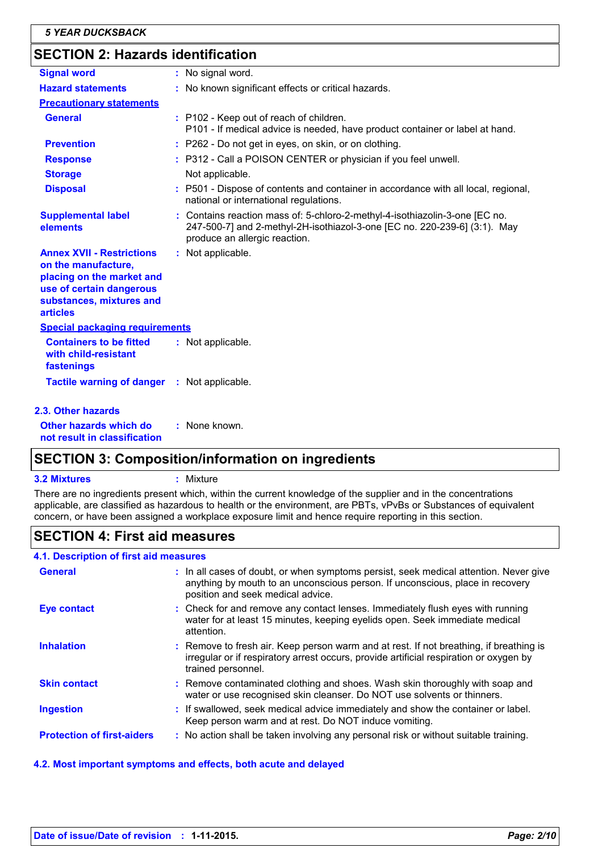# **SECTION 2: Hazards identification**

| <b>Signal word</b>                                                                                                                                              | : No signal word.                                                                                                                                                                         |
|-----------------------------------------------------------------------------------------------------------------------------------------------------------------|-------------------------------------------------------------------------------------------------------------------------------------------------------------------------------------------|
| <b>Hazard statements</b>                                                                                                                                        | : No known significant effects or critical hazards.                                                                                                                                       |
| <b>Precautionary statements</b>                                                                                                                                 |                                                                                                                                                                                           |
| <b>General</b>                                                                                                                                                  | : P102 - Keep out of reach of children.<br>P101 - If medical advice is needed, have product container or label at hand.                                                                   |
| <b>Prevention</b>                                                                                                                                               | : P262 - Do not get in eyes, on skin, or on clothing.                                                                                                                                     |
| <b>Response</b>                                                                                                                                                 | : P312 - Call a POISON CENTER or physician if you feel unwell.                                                                                                                            |
| <b>Storage</b>                                                                                                                                                  | Not applicable.                                                                                                                                                                           |
| <b>Disposal</b>                                                                                                                                                 | : P501 - Dispose of contents and container in accordance with all local, regional,<br>national or international regulations.                                                              |
| <b>Supplemental label</b><br>elements                                                                                                                           | : Contains reaction mass of: 5-chloro-2-methyl-4-isothiazolin-3-one [EC no.<br>247-500-7] and 2-methyl-2H-isothiazol-3-one [EC no. 220-239-6] (3:1). May<br>produce an allergic reaction. |
| <b>Annex XVII - Restrictions</b><br>on the manufacture,<br>placing on the market and<br>use of certain dangerous<br>substances, mixtures and<br><b>articles</b> | : Not applicable.                                                                                                                                                                         |
| <b>Special packaging requirements</b>                                                                                                                           |                                                                                                                                                                                           |
| <b>Containers to be fitted</b><br>with child-resistant<br>fastenings                                                                                            | : Not applicable.                                                                                                                                                                         |
| Tactile warning of danger : Not applicable.                                                                                                                     |                                                                                                                                                                                           |
| 2.3. Other hazards                                                                                                                                              |                                                                                                                                                                                           |
| Other hazards which do<br>not result in classification                                                                                                          | : None known.                                                                                                                                                                             |

# **SECTION 3: Composition/information on ingredients**

#### **3.2 Mixtures :** Mixture

There are no ingredients present which, within the current knowledge of the supplier and in the concentrations applicable, are classified as hazardous to health or the environment, are PBTs, vPvBs or Substances of equivalent concern, or have been assigned a workplace exposure limit and hence require reporting in this section.

# **SECTION 4: First aid measures**

#### **4.1. Description of first aid measures**

| <b>General</b>                    | : In all cases of doubt, or when symptoms persist, seek medical attention. Never give<br>anything by mouth to an unconscious person. If unconscious, place in recovery<br>position and seek medical advice. |
|-----------------------------------|-------------------------------------------------------------------------------------------------------------------------------------------------------------------------------------------------------------|
| <b>Eye contact</b>                | : Check for and remove any contact lenses. Immediately flush eyes with running<br>water for at least 15 minutes, keeping eyelids open. Seek immediate medical<br>attention.                                 |
| <b>Inhalation</b>                 | : Remove to fresh air. Keep person warm and at rest. If not breathing, if breathing is<br>irregular or if respiratory arrest occurs, provide artificial respiration or oxygen by<br>trained personnel.      |
| <b>Skin contact</b>               | : Remove contaminated clothing and shoes. Wash skin thoroughly with soap and<br>water or use recognised skin cleanser. Do NOT use solvents or thinners.                                                     |
| <b>Ingestion</b>                  | : If swallowed, seek medical advice immediately and show the container or label.<br>Keep person warm and at rest. Do NOT induce vomiting.                                                                   |
| <b>Protection of first-aiders</b> | : No action shall be taken involving any personal risk or without suitable training.                                                                                                                        |

#### **4.2. Most important symptoms and effects, both acute and delayed**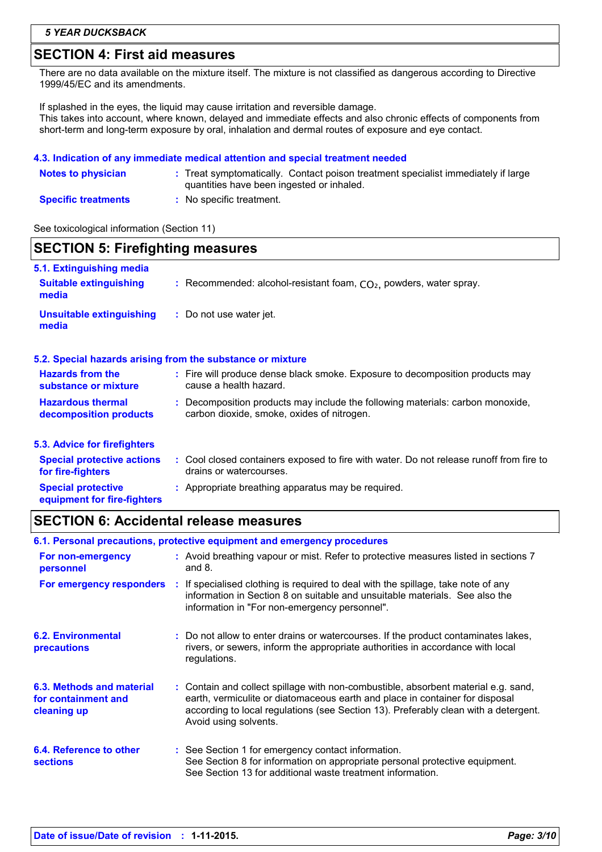# **SECTION 4: First aid measures**

There are no data available on the mixture itself. The mixture is not classified as dangerous according to Directive 1999/45/EC and its amendments.

If splashed in the eyes, the liquid may cause irritation and reversible damage. This takes into account, where known, delayed and immediate effects and also chronic effects of components from short-term and long-term exposure by oral, inhalation and dermal routes of exposure and eye contact.

#### **4.3. Indication of any immediate medical attention and special treatment needed**

| <b>Notes to physician</b>  | : Treat symptomatically. Contact poison treatment specialist immediately if large<br>quantities have been ingested or inhaled. |
|----------------------------|--------------------------------------------------------------------------------------------------------------------------------|
| <b>Specific treatments</b> | : No specific treatment.                                                                                                       |

See toxicological information (Section 11)

| <b>SECTION 5: Firefighting measures</b>                |                                                                                                                              |  |
|--------------------------------------------------------|------------------------------------------------------------------------------------------------------------------------------|--|
| 5.1. Extinguishing media                               |                                                                                                                              |  |
| <b>Suitable extinguishing</b><br>media                 | : Recommended: alcohol-resistant foam, $CO2$ , powders, water spray.                                                         |  |
| <b>Unsuitable extinguishing</b><br>media               | : Do not use water jet.                                                                                                      |  |
|                                                        | 5.2. Special hazards arising from the substance or mixture                                                                   |  |
| <b>Hazards from the</b><br>substance or mixture        | : Fire will produce dense black smoke. Exposure to decomposition products may<br>cause a health hazard.                      |  |
| <b>Hazardous thermal</b><br>decomposition products     | : Decomposition products may include the following materials: carbon monoxide,<br>carbon dioxide, smoke, oxides of nitrogen. |  |
| 5.3. Advice for firefighters                           |                                                                                                                              |  |
| <b>Special protective actions</b><br>for fire-fighters | : Cool closed containers exposed to fire with water. Do not release runoff from fire to<br>drains or watercourses.           |  |
| <b>Special protective</b>                              | : Appropriate breathing apparatus may be required.                                                                           |  |

# **equipment for fire-fighters**

# **SECTION 6: Accidental release measures**

|                                                                 | 6.1. Personal precautions, protective equipment and emergency procedures                                                                                                                                                                                                           |
|-----------------------------------------------------------------|------------------------------------------------------------------------------------------------------------------------------------------------------------------------------------------------------------------------------------------------------------------------------------|
| For non-emergency<br>personnel                                  | : Avoid breathing vapour or mist. Refer to protective measures listed in sections 7<br>and $8.$                                                                                                                                                                                    |
| For emergency responders                                        | : If specialised clothing is required to deal with the spillage, take note of any<br>information in Section 8 on suitable and unsuitable materials. See also the<br>information in "For non-emergency personnel".                                                                  |
| <b>6.2. Environmental</b><br>precautions                        | : Do not allow to enter drains or watercourses. If the product contaminates lakes,<br>rivers, or sewers, inform the appropriate authorities in accordance with local<br>regulations.                                                                                               |
| 6.3. Methods and material<br>for containment and<br>cleaning up | : Contain and collect spillage with non-combustible, absorbent material e.g. sand,<br>earth, vermiculite or diatomaceous earth and place in container for disposal<br>according to local regulations (see Section 13). Preferably clean with a detergent.<br>Avoid using solvents. |
| 6.4. Reference to other<br><b>sections</b>                      | : See Section 1 for emergency contact information.<br>See Section 8 for information on appropriate personal protective equipment.<br>See Section 13 for additional waste treatment information.                                                                                    |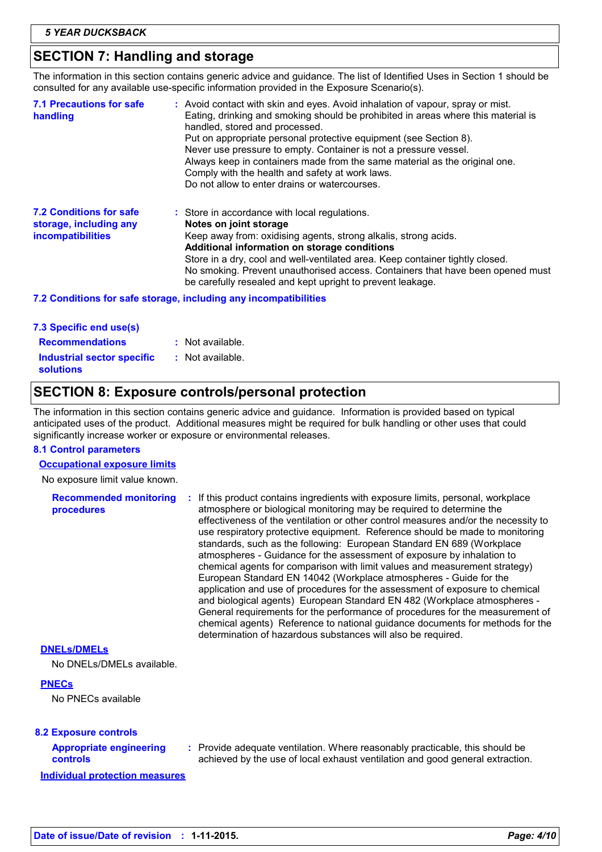# **SECTION 7: Handling and storage**

The information in this section contains generic advice and guidance. The list of Identified Uses in Section 1 should be consulted for any available use-specific information provided in the Exposure Scenario(s).

| handling                                                                             | Put on appropriate personal protective equipment (see Section 8).<br>Never use pressure to empty. Container is not a pressure vessel.<br>Always keep in containers made from the same material as the original one.<br>Comply with the health and safety at work laws.<br>Do not allow to enter drains or watercourses.                                                                                                     |
|--------------------------------------------------------------------------------------|-----------------------------------------------------------------------------------------------------------------------------------------------------------------------------------------------------------------------------------------------------------------------------------------------------------------------------------------------------------------------------------------------------------------------------|
| <b>7.2 Conditions for safe</b><br>storage, including any<br><i>incompatibilities</i> | : Store in accordance with local regulations.<br>Notes on joint storage<br>Keep away from: oxidising agents, strong alkalis, strong acids.<br>Additional information on storage conditions<br>Store in a dry, cool and well-ventilated area. Keep container tightly closed.<br>No smoking. Prevent unauthorised access. Containers that have been opened must<br>be carefully resealed and kept upright to prevent leakage. |

#### **7.2 Conditions for safe storage, including any incompatibilities**

| 7.3 Specific end use(s)           |                  |
|-----------------------------------|------------------|
| <b>Recommendations</b>            | : Not available. |
| <b>Industrial sector specific</b> | : Not available. |
| <b>solutions</b>                  |                  |

# **SECTION 8: Exposure controls/personal protection**

The information in this section contains generic advice and guidance. Information is provided based on typical anticipated uses of the product. Additional measures might be required for bulk handling or other uses that could significantly increase worker or exposure or environmental releases.

#### **8.1 Control parameters**

#### **Occupational exposure limits**

No exposure limit value known.

| <b>Recommended monitoring</b><br><b>procedures</b> | : If this product contains ingredients with exposure limits, personal, workplace<br>atmosphere or biological monitoring may be required to determine the                                                                                    |
|----------------------------------------------------|---------------------------------------------------------------------------------------------------------------------------------------------------------------------------------------------------------------------------------------------|
|                                                    | effectiveness of the ventilation or other control measures and/or the necessity to<br>use respiratory protective equipment. Reference should be made to monitoring<br>standards, such as the following: European Standard EN 689 (Workplace |
|                                                    | atmospheres - Guidance for the assessment of exposure by inhalation to<br>chemical agents for comparison with limit values and measurement strategy)                                                                                        |
|                                                    | European Standard EN 14042 (Workplace atmospheres - Guide for the<br>application and use of procedures for the assessment of exposure to chemical                                                                                           |
|                                                    | and biological agents) European Standard EN 482 (Workplace atmospheres -<br>General requirements for the performance of procedures for the measurement of<br>chemical agents) Reference to national guidance documents for methods for the  |
|                                                    | determination of hazardous substances will also be required.                                                                                                                                                                                |

#### **DNELs/DMELs**

No DNELs/DMELs available.

#### **PNECs**

No PNECs available

#### **8.2 Exposure controls**

#### **Appropriate engineering controls**

Provide adequate ventilation. Where reasonably practicable, this should be **:** achieved by the use of local exhaust ventilation and good general extraction.

**Individual protection measures**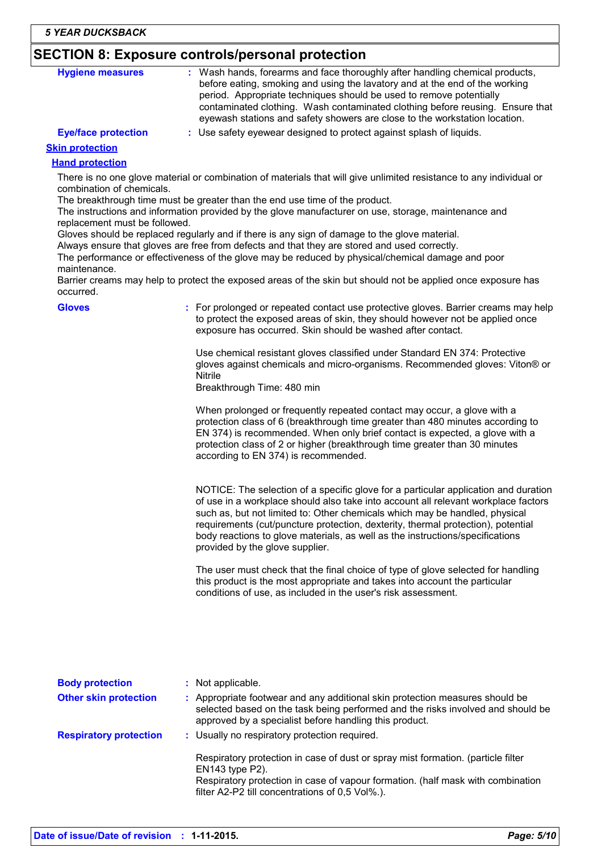# **SECTION 8: Exposure controls/personal protection**

| <b>Hygiene measures</b>                                                                                                                                                                                                              | : Wash hands, forearms and face thoroughly after handling chemical products,<br>before eating, smoking and using the lavatory and at the end of the working<br>period. Appropriate techniques should be used to remove potentially<br>contaminated clothing. Wash contaminated clothing before reusing. Ensure that<br>eyewash stations and safety showers are close to the workstation location. |
|--------------------------------------------------------------------------------------------------------------------------------------------------------------------------------------------------------------------------------------|---------------------------------------------------------------------------------------------------------------------------------------------------------------------------------------------------------------------------------------------------------------------------------------------------------------------------------------------------------------------------------------------------|
| <b>Eye/face protection</b>                                                                                                                                                                                                           | : Use safety eyewear designed to protect against splash of liquids.                                                                                                                                                                                                                                                                                                                               |
| <b>Contact and a second contact of the contact of the contact of the contact of the contact of the contact of the contact of the contact of the contact of the contact of the contact of the contact of the contact of the conta</b> |                                                                                                                                                                                                                                                                                                                                                                                                   |

#### **Skin protection**

#### **Hand protection**

There is no one glove material or combination of materials that will give unlimited resistance to any individual or combination of chemicals.

The breakthrough time must be greater than the end use time of the product.

The instructions and information provided by the glove manufacturer on use, storage, maintenance and replacement must be followed.

Gloves should be replaced regularly and if there is any sign of damage to the glove material.

Always ensure that gloves are free from defects and that they are stored and used correctly.

The performance or effectiveness of the glove may be reduced by physical/chemical damage and poor maintenance.

Barrier creams may help to protect the exposed areas of the skin but should not be applied once exposure has occurred.

| <b>Gloves</b>                 | : For prolonged or repeated contact use protective gloves. Barrier creams may help<br>to protect the exposed areas of skin, they should however not be applied once<br>exposure has occurred. Skin should be washed after contact.                                                                                                                                                                                                                               |
|-------------------------------|------------------------------------------------------------------------------------------------------------------------------------------------------------------------------------------------------------------------------------------------------------------------------------------------------------------------------------------------------------------------------------------------------------------------------------------------------------------|
|                               | Use chemical resistant gloves classified under Standard EN 374: Protective<br>gloves against chemicals and micro-organisms. Recommended gloves: Viton® or<br><b>Nitrile</b><br>Breakthrough Time: 480 min                                                                                                                                                                                                                                                        |
|                               | When prolonged or frequently repeated contact may occur, a glove with a<br>protection class of 6 (breakthrough time greater than 480 minutes according to<br>EN 374) is recommended. When only brief contact is expected, a glove with a<br>protection class of 2 or higher (breakthrough time greater than 30 minutes<br>according to EN 374) is recommended.                                                                                                   |
|                               | NOTICE: The selection of a specific glove for a particular application and duration<br>of use in a workplace should also take into account all relevant workplace factors<br>such as, but not limited to: Other chemicals which may be handled, physical<br>requirements (cut/puncture protection, dexterity, thermal protection), potential<br>body reactions to glove materials, as well as the instructions/specifications<br>provided by the glove supplier. |
|                               | The user must check that the final choice of type of glove selected for handling<br>this product is the most appropriate and takes into account the particular<br>conditions of use, as included in the user's risk assessment.                                                                                                                                                                                                                                  |
|                               |                                                                                                                                                                                                                                                                                                                                                                                                                                                                  |
| <b>Body protection</b>        | : Not applicable.                                                                                                                                                                                                                                                                                                                                                                                                                                                |
| <b>Other skin protection</b>  | : Appropriate footwear and any additional skin protection measures should be<br>selected based on the task being performed and the risks involved and should be<br>approved by a specialist before handling this product.                                                                                                                                                                                                                                        |
| <b>Respiratory protection</b> | : Usually no respiratory protection required.                                                                                                                                                                                                                                                                                                                                                                                                                    |

Respiratory protection in case of dust or spray mist formation. (particle filter EN143 type P2). Respiratory protection in case of vapour formation. (half mask with combination filter A2-P2 till concentrations of 0,5 Vol%.).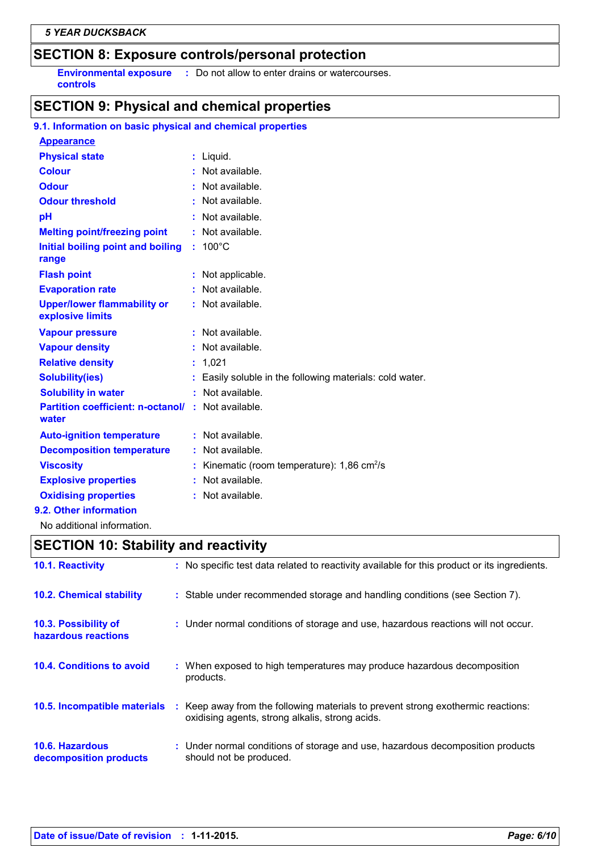# **SECTION 8: Exposure controls/personal protection**

**Environmental exposure :** Do not allow to enter drains or watercourses. **controls**

# **SECTION 9: Physical and chemical properties**

#### **9.1. Information on basic physical and chemical properties**

| <b>Appearance</b>                                                 |    |                                                        |
|-------------------------------------------------------------------|----|--------------------------------------------------------|
| <b>Physical state</b>                                             |    | $:$ Liquid.                                            |
| <b>Colour</b>                                                     |    | $:$ Not available.                                     |
| <b>Odour</b>                                                      |    | $:$ Not available.                                     |
| <b>Odour threshold</b>                                            | t. | Not available.                                         |
| рH                                                                |    | : Not available.                                       |
| <b>Melting point/freezing point</b>                               |    | $:$ Not available.                                     |
| Initial boiling point and boiling<br>range                        |    | $: 100^{\circ}$ C                                      |
| <b>Flash point</b>                                                |    | : Not applicable.                                      |
| <b>Evaporation rate</b>                                           |    | $:$ Not available.                                     |
| <b>Upper/lower flammability or</b><br>explosive limits            |    | $:$ Not available.                                     |
| <b>Vapour pressure</b>                                            |    | $:$ Not available.                                     |
| <b>Vapour density</b>                                             |    | : Not available.                                       |
| <b>Relative density</b>                                           |    | : 1,021                                                |
| <b>Solubility(ies)</b>                                            | ÷. | Easily soluble in the following materials: cold water. |
| <b>Solubility in water</b>                                        |    | : Not available.                                       |
| <b>Partition coefficient: n-octanol/: Not available.</b><br>water |    |                                                        |
| <b>Auto-ignition temperature</b>                                  |    | : Not available.                                       |
| <b>Decomposition temperature</b>                                  |    | : Not available.                                       |
| <b>Viscosity</b>                                                  |    | Kinematic (room temperature): 1,86 cm <sup>2</sup> /s  |
| <b>Explosive properties</b>                                       |    | : Not available.                                       |
| <b>Oxidising properties</b>                                       |    | : Not available.                                       |
| 9.2. Other information                                            |    |                                                        |

No additional information.

# **SECTION 10: Stability and reactivity**

| <b>10.1. Reactivity</b>                     | : No specific test data related to reactivity available for this product or its ingredients.                                        |
|---------------------------------------------|-------------------------------------------------------------------------------------------------------------------------------------|
| <b>10.2. Chemical stability</b>             | : Stable under recommended storage and handling conditions (see Section 7).                                                         |
| 10.3. Possibility of<br>hazardous reactions | : Under normal conditions of storage and use, hazardous reactions will not occur.                                                   |
| 10.4. Conditions to avoid                   | : When exposed to high temperatures may produce hazardous decomposition<br>products.                                                |
| 10.5. Incompatible materials                | : Keep away from the following materials to prevent strong exothermic reactions:<br>oxidising agents, strong alkalis, strong acids. |
| 10.6. Hazardous<br>decomposition products   | : Under normal conditions of storage and use, hazardous decomposition products<br>should not be produced.                           |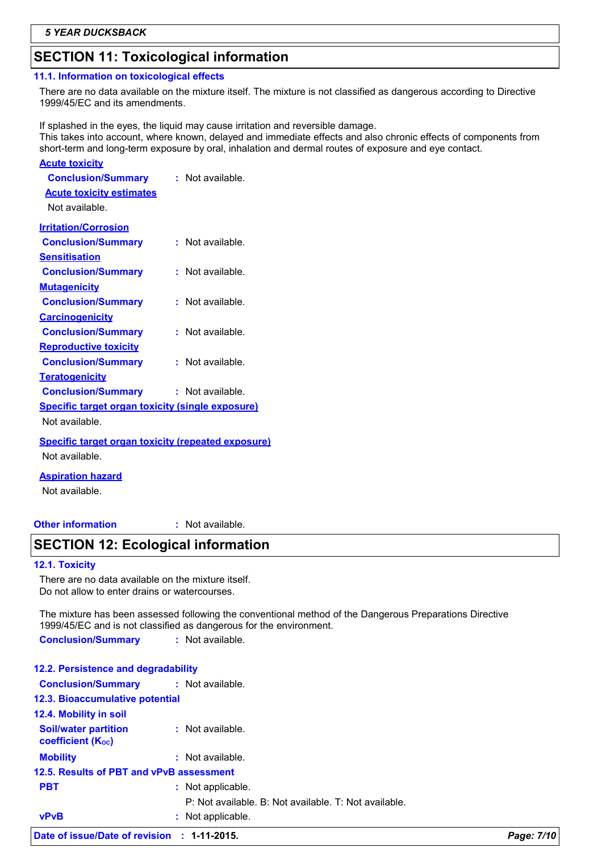# **SECTION 11: Toxicological information**

#### **11.1. Information on toxicological effects**

There are no data available on the mixture itself. The mixture is not classified as dangerous according to Directive 1999/45/EC and its amendments.

If splashed in the eyes, the liquid may cause irritation and reversible damage. This takes into account, where known, delayed and immediate effects and also chronic effects of components from short-term and long-term exposure by oral, inhalation and dermal routes of exposure and eye contact.

| <u>Acute toxicity</u>                                     |                  |
|-----------------------------------------------------------|------------------|
| <b>Conclusion/Summary</b>                                 | : Not available. |
| <b>Acute toxicity estimates</b>                           |                  |
| Not available.                                            |                  |
| <b>Irritation/Corrosion</b>                               |                  |
| <b>Conclusion/Summary</b>                                 | : Not available. |
| <u>Sensitisation</u>                                      |                  |
| <b>Conclusion/Summary</b>                                 | : Not available. |
| <b>Mutagenicity</b>                                       |                  |
| <b>Conclusion/Summary</b>                                 | : Not available. |
| <b>Carcinogenicity</b>                                    |                  |
| <b>Conclusion/Summary</b>                                 | : Not available. |
| <b>Reproductive toxicity</b>                              |                  |
| <b>Conclusion/Summary</b>                                 | : Not available. |
| <b>Teratogenicity</b>                                     |                  |
| <b>Conclusion/Summary</b>                                 | : Not available. |
| <b>Specific target organ toxicity (single exposure)</b>   |                  |
| Not available.                                            |                  |
| <b>Specific target organ toxicity (repeated exposure)</b> |                  |
| Not available.                                            |                  |

#### **Aspiration hazard**

Not available.

#### **Other information :**

: Not available.

### **SECTION 12: Ecological information**

#### **12.1. Toxicity**

There are no data available on the mixture itself. Do not allow to enter drains or watercourses.

The mixture has been assessed following the conventional method of the Dangerous Preparations Directive 1999/45/EC and is not classified as dangerous for the environment.

**Conclusion/Summary :** Not available.

| Date of issue/Date of revision : 1-11-2015.             |                                                       | Page: 7/10 |
|---------------------------------------------------------|-------------------------------------------------------|------------|
| <b>vPvB</b>                                             | : Not applicable.                                     |            |
|                                                         | P: Not available, B: Not available, T: Not available. |            |
| <b>PBT</b>                                              | : Not applicable.                                     |            |
| 12.5. Results of PBT and vPvB assessment                |                                                       |            |
| <b>Mobility</b>                                         | $:$ Not available.                                    |            |
| <b>Soil/water partition</b><br><b>coefficient (Koc)</b> | : Not available.                                      |            |
| 12.4. Mobility in soil                                  |                                                       |            |
| 12.3. Bioaccumulative potential                         |                                                       |            |
| <b>Conclusion/Summary</b>                               | : Not available.                                      |            |
| 12.2. Persistence and degradability                     |                                                       |            |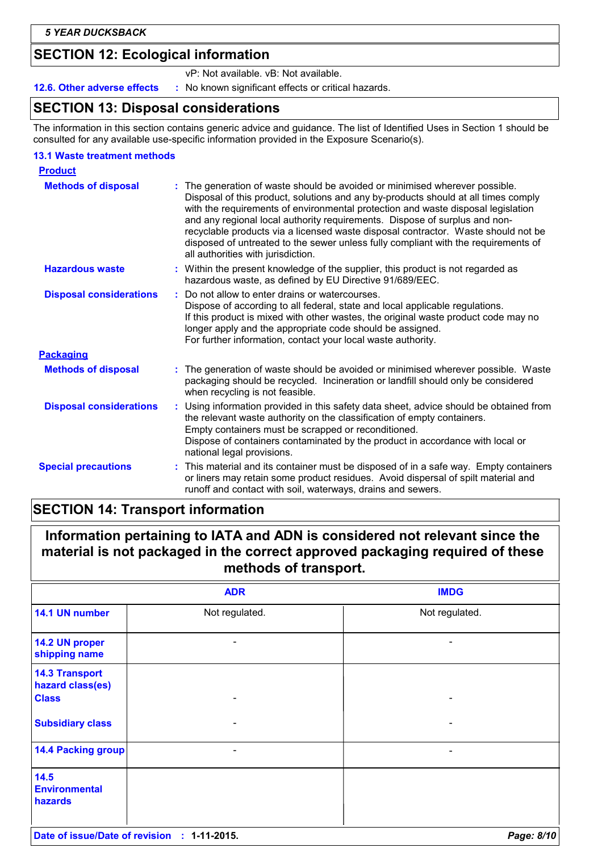# **SECTION 12: Ecological information**

vP: Not available. vB: Not available.

**12.6. Other adverse effects** : No known significant effects or critical hazards.

# **SECTION 13: Disposal considerations**

The information in this section contains generic advice and guidance. The list of Identified Uses in Section 1 should be consulted for any available use-specific information provided in the Exposure Scenario(s).

#### **13.1 Waste treatment methods**

| <b>Product</b>                 |                                                                                                                                                                                                                                                                                                                                                                                                                                                                                                                                                          |
|--------------------------------|----------------------------------------------------------------------------------------------------------------------------------------------------------------------------------------------------------------------------------------------------------------------------------------------------------------------------------------------------------------------------------------------------------------------------------------------------------------------------------------------------------------------------------------------------------|
| <b>Methods of disposal</b>     | The generation of waste should be avoided or minimised wherever possible.<br>÷.<br>Disposal of this product, solutions and any by-products should at all times comply<br>with the requirements of environmental protection and waste disposal legislation<br>and any regional local authority requirements. Dispose of surplus and non-<br>recyclable products via a licensed waste disposal contractor. Waste should not be<br>disposed of untreated to the sewer unless fully compliant with the requirements of<br>all authorities with jurisdiction. |
| <b>Hazardous waste</b>         | Within the present knowledge of the supplier, this product is not regarded as<br>hazardous waste, as defined by EU Directive 91/689/EEC.                                                                                                                                                                                                                                                                                                                                                                                                                 |
| <b>Disposal considerations</b> | Do not allow to enter drains or watercourses.<br>Dispose of according to all federal, state and local applicable regulations.<br>If this product is mixed with other wastes, the original waste product code may no<br>longer apply and the appropriate code should be assigned.<br>For further information, contact your local waste authority.                                                                                                                                                                                                         |
| <b>Packaging</b>               |                                                                                                                                                                                                                                                                                                                                                                                                                                                                                                                                                          |
| <b>Methods of disposal</b>     | The generation of waste should be avoided or minimised wherever possible. Waste<br>packaging should be recycled. Incineration or landfill should only be considered<br>when recycling is not feasible.                                                                                                                                                                                                                                                                                                                                                   |
| <b>Disposal considerations</b> | Using information provided in this safety data sheet, advice should be obtained from<br>the relevant waste authority on the classification of empty containers.<br>Empty containers must be scrapped or reconditioned.<br>Dispose of containers contaminated by the product in accordance with local or<br>national legal provisions.                                                                                                                                                                                                                    |
| <b>Special precautions</b>     | This material and its container must be disposed of in a safe way. Empty containers<br>÷.<br>or liners may retain some product residues. Avoid dispersal of spilt material and<br>runoff and contact with soil, waterways, drains and sewers.                                                                                                                                                                                                                                                                                                            |

# **SECTION 14: Transport information**

# **Information pertaining to IATA and ADN is considered not relevant since the material is not packaged in the correct approved packaging required of these methods of transport.**

|                                                           | <b>ADR</b>               | <b>IMDG</b>              |
|-----------------------------------------------------------|--------------------------|--------------------------|
| 14.1 UN number                                            | Not regulated.           | Not regulated.           |
| 14.2 UN proper<br>shipping name                           | $\overline{\phantom{a}}$ |                          |
| <b>14.3 Transport</b><br>hazard class(es)<br><b>Class</b> |                          |                          |
| <b>Subsidiary class</b>                                   |                          |                          |
| <b>14.4 Packing group</b>                                 | -                        | $\overline{\phantom{a}}$ |
| 14.5<br><b>Environmental</b><br>hazards                   |                          |                          |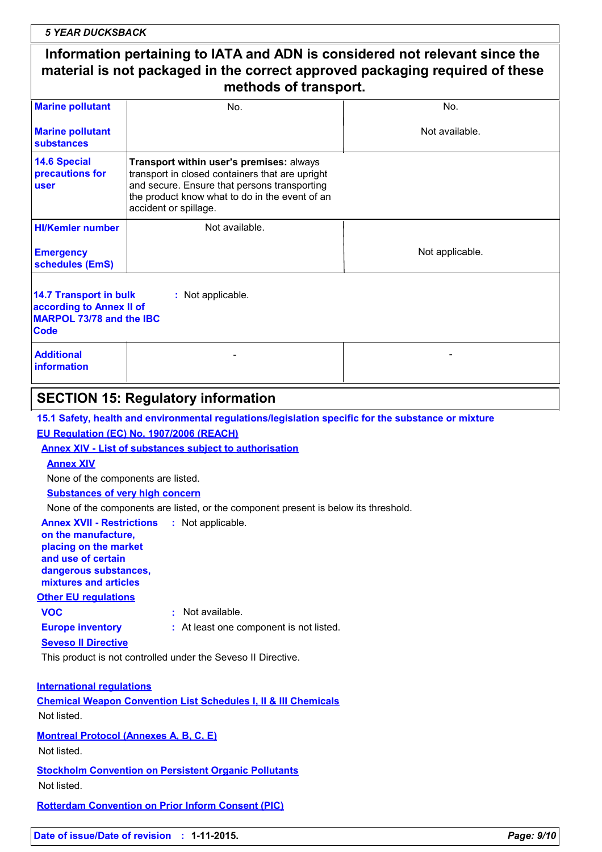| <b>5 YEAR DUCKSBACK</b> |
|-------------------------|
|-------------------------|

# **Information pertaining to IATA and ADN is considered not relevant since the material is not packaged in the correct approved packaging required of these methods of transport.**

| <b>Marine pollutant</b>                                                                                                   | No.                                                                                                                                                                                                                    | No.             |  |  |
|---------------------------------------------------------------------------------------------------------------------------|------------------------------------------------------------------------------------------------------------------------------------------------------------------------------------------------------------------------|-----------------|--|--|
| <b>Marine pollutant</b><br>substances                                                                                     |                                                                                                                                                                                                                        | Not available.  |  |  |
| <b>14.6 Special</b><br>precautions for<br><b>user</b>                                                                     | Transport within user's premises: always<br>transport in closed containers that are upright<br>and secure. Ensure that persons transporting<br>the product know what to do in the event of an<br>accident or spillage. |                 |  |  |
| <b>HI/Kemler number</b>                                                                                                   | Not available.                                                                                                                                                                                                         |                 |  |  |
| <b>Emergency</b><br>schedules (EmS)                                                                                       |                                                                                                                                                                                                                        | Not applicable. |  |  |
| <b>14.7 Transport in bulk</b><br>: Not applicable.<br>according to Annex II of<br>MARPOL 73/78 and the IBC<br><b>Code</b> |                                                                                                                                                                                                                        |                 |  |  |
| <b>Additional</b><br>information                                                                                          |                                                                                                                                                                                                                        |                 |  |  |

# **SECTION 15: Regulatory information**

**15.1 Safety, health and environmental regulations/legislation specific for the substance or mixture**

#### **EU Regulation (EC) No. 1907/2006 (REACH)**

#### **Annex XIV - List of substances subject to authorisation**

#### **Annex XIV**

None of the components are listed.

**Substances of very high concern**

None of the components are listed, or the component present is below its threshold.

#### **Annex XVII - Restrictions : Not applicable.**

**on the manufacture, placing on the market and use of certain dangerous substances, mixtures and articles**

#### **Other EU regulations**

- **VOC :** Not available.
- 
- 
- **Europe inventory :** At least one component is not listed.
- **Seveso II Directive**

This product is not controlled under the Seveso II Directive.

#### **International regulations**

**Chemical Weapon Convention List Schedules I, II & III Chemicals** Not listed.

**Montreal Protocol (Annexes A, B, C, E)**

#### Not listed.

**Stockholm Convention on Persistent Organic Pollutants** Not listed.

**Rotterdam Convention on Prior Inform Consent (PIC)**